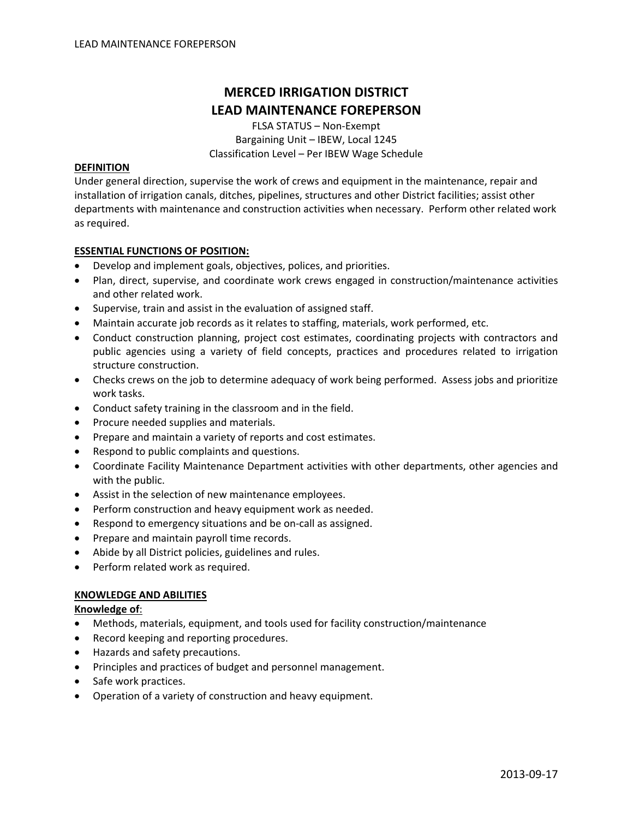# **MERCED IRRIGATION DISTRICT LEAD MAINTENANCE FOREPERSON**

FLSA STATUS – Non‐Exempt Bargaining Unit – IBEW, Local 1245 Classification Level – Per IBEW Wage Schedule

#### **DEFINITION**

Under general direction, supervise the work of crews and equipment in the maintenance, repair and installation of irrigation canals, ditches, pipelines, structures and other District facilities; assist other departments with maintenance and construction activities when necessary. Perform other related work as required.

#### **ESSENTIAL FUNCTIONS OF POSITION:**

- Develop and implement goals, objectives, polices, and priorities.
- Plan, direct, supervise, and coordinate work crews engaged in construction/maintenance activities and other related work.
- Supervise, train and assist in the evaluation of assigned staff.
- Maintain accurate job records as it relates to staffing, materials, work performed, etc.
- Conduct construction planning, project cost estimates, coordinating projects with contractors and public agencies using a variety of field concepts, practices and procedures related to irrigation structure construction.
- Checks crews on the job to determine adequacy of work being performed. Assess jobs and prioritize work tasks.
- Conduct safety training in the classroom and in the field.
- Procure needed supplies and materials.
- Prepare and maintain a variety of reports and cost estimates.
- Respond to public complaints and questions.
- Coordinate Facility Maintenance Department activities with other departments, other agencies and with the public.
- Assist in the selection of new maintenance employees.
- Perform construction and heavy equipment work as needed.
- Respond to emergency situations and be on‐call as assigned.
- Prepare and maintain payroll time records.
- Abide by all District policies, guidelines and rules.
- Perform related work as required.

## **KNOWLEDGE AND ABILITIES**

## **Knowledge of**:

- Methods, materials, equipment, and tools used for facility construction/maintenance
- Record keeping and reporting procedures.
- Hazards and safety precautions.
- Principles and practices of budget and personnel management.
- Safe work practices.
- Operation of a variety of construction and heavy equipment.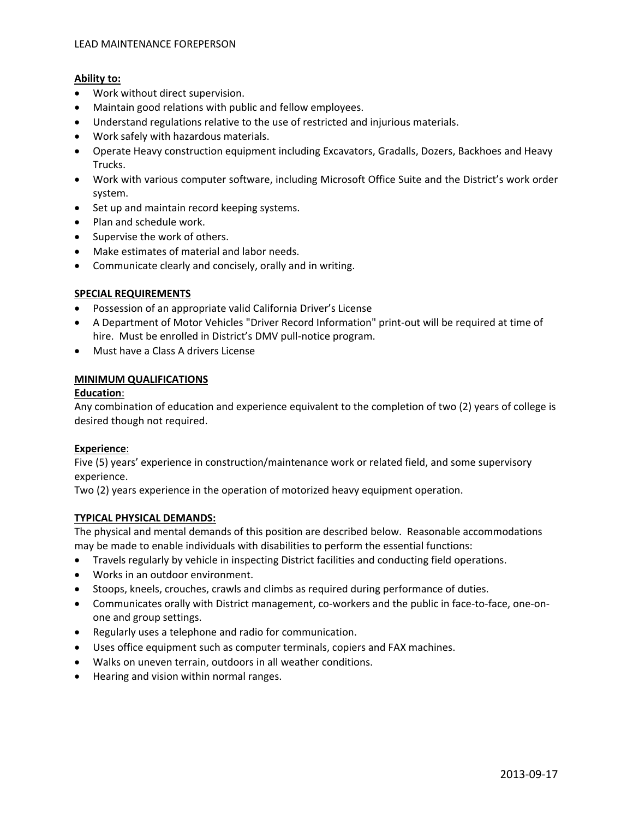## **Ability to:**

- Work without direct supervision.
- Maintain good relations with public and fellow employees.
- Understand regulations relative to the use of restricted and injurious materials.
- Work safely with hazardous materials.
- Operate Heavy construction equipment including Excavators, Gradalls, Dozers, Backhoes and Heavy Trucks.
- Work with various computer software, including Microsoft Office Suite and the District's work order system.
- Set up and maintain record keeping systems.
- Plan and schedule work.
- Supervise the work of others.
- Make estimates of material and labor needs.
- Communicate clearly and concisely, orally and in writing.

## **SPECIAL REQUIREMENTS**

- Possession of an appropriate valid California Driver's License
- A Department of Motor Vehicles "Driver Record Information" print‐out will be required at time of hire. Must be enrolled in District's DMV pull-notice program.
- Must have a Class A drivers License

## **MINIMUM QUALIFICATIONS**

#### **Education**:

Any combination of education and experience equivalent to the completion of two (2) years of college is desired though not required.

## **Experience**:

Five (5) years' experience in construction/maintenance work or related field, and some supervisory experience.

Two (2) years experience in the operation of motorized heavy equipment operation.

## **TYPICAL PHYSICAL DEMANDS:**

The physical and mental demands of this position are described below. Reasonable accommodations may be made to enable individuals with disabilities to perform the essential functions:

- Travels regularly by vehicle in inspecting District facilities and conducting field operations.
- Works in an outdoor environment.
- Stoops, kneels, crouches, crawls and climbs as required during performance of duties.
- Communicates orally with District management, co-workers and the public in face-to-face, one-onone and group settings.
- Regularly uses a telephone and radio for communication.
- Uses office equipment such as computer terminals, copiers and FAX machines.
- Walks on uneven terrain, outdoors in all weather conditions.
- Hearing and vision within normal ranges.